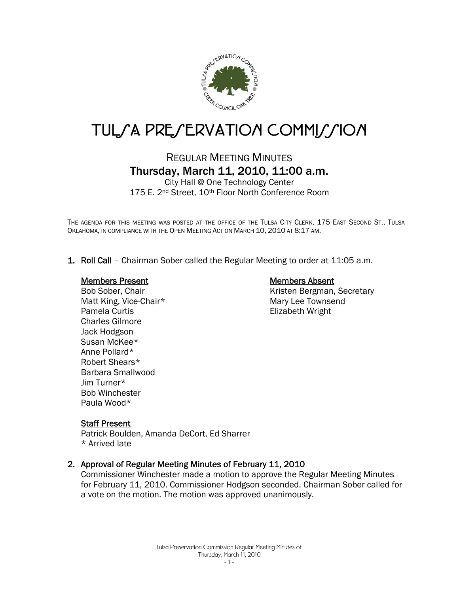

# TUL*SA PRESERVATION COMMISSION*

REGULAR MEETING MINUTES Thursday, March 11, 2010, 11:00 a.m.

City Hall @ One Technology Center 175 E. 2<sup>nd</sup> Street, 10<sup>th</sup> Floor North Conference Room

THE AGENDA FOR THIS MEETING WAS POSTED AT THE OFFICE OF THE TULSA CITY CLERK, 175 EAST SECOND ST., TULSA OKLAHOMA, IN COMPLIANCE WITH THE OPEN MEETING ACT ON MARCH 10, 2010 AT 8:17 AM.

1. Roll Call – Chairman Sober called the Regular Meeting to order at 11:05 a.m.

#### Members Present

Bob Sober, Chair Matt King, Vice-Chair\* Pamela Curtis Charles Gilmore Jack Hodgson Susan McKee\* Anne Pollard\* Robert Shears\* Barbara Smallwood Jim Turner\* Bob Winchester Paula Wood\*

#### Members Absent

Kristen Bergman, Secretary Mary Lee Townsend Elizabeth Wright

#### Staff Present

Patrick Boulden, Amanda DeCort, Ed Sharrer \* Arrived late

#### 2. Approval of Regular Meeting Minutes of February 11, 2010

Commissioner Winchester made a motion to approve the Regular Meeting Minutes for February 11, 2010. Commissioner Hodgson seconded. Chairman Sober called for a vote on the motion. The motion was approved unanimously.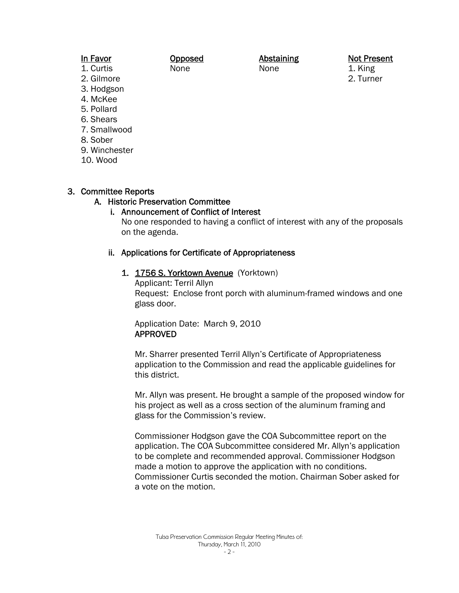#### In Favor 1. Curtis

Opposed None

Abstaining None

Not Present 1. King

2. Turner

- 2. Gilmore
- 3. Hodgson 4. McKee
- 5. Pollard
- 6. Shears
- 7. Smallwood
- 8. Sober
- 
- 9. Winchester
- 10. Wood

## 3. Committee Reports

## A. Historic Preservation Committee

# i. Announcement of Conflict of Interest

No one responded to having a conflict of interest with any of the proposals on the agenda.

## ii. Applications for Certificate of Appropriateness

# 1. 1756 S. Yorktown Avenue (Yorktown)

Applicant: Terril Allyn Request: Enclose front porch with aluminum-framed windows and one glass door.

Application Date: March 9, 2010 APPROVED

Mr. Sharrer presented Terril Allyn's Certificate of Appropriateness application to the Commission and read the applicable guidelines for this district.

Mr. Allyn was present. He brought a sample of the proposed window for his project as well as a cross section of the aluminum framing and glass for the Commission's review.

Commissioner Hodgson gave the COA Subcommittee report on the application. The COA Subcommittee considered Mr. Allyn's application to be complete and recommended approval. Commissioner Hodgson made a motion to approve the application with no conditions. Commissioner Curtis seconded the motion. Chairman Sober asked for a vote on the motion.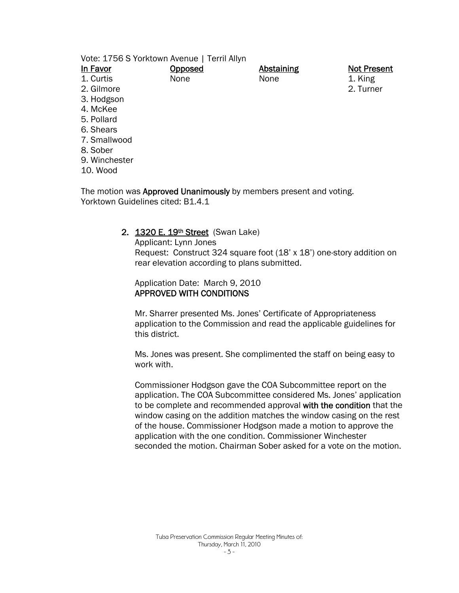Vote: 1756 S Yorktown Avenue | Terril Allyn

| In Favor     | Opposed | <b>Abstaining</b> | <b>Not Present</b> |
|--------------|---------|-------------------|--------------------|
| 1. Curtis    | None    | None              | 1. King            |
| 2. Gilmore   |         |                   | 2. Turner          |
| 3. Hodgson   |         |                   |                    |
| 4. McKee     |         |                   |                    |
| 5. Pollard   |         |                   |                    |
| 6. Shears    |         |                   |                    |
| 7. Smallwood |         |                   |                    |
| 8. Sober     |         |                   |                    |

9. Winchester

10. Wood

The motion was Approved Unanimously by members present and voting. Yorktown Guidelines cited: B1.4.1

#### 2. 1320 E. 19th Street (Swan Lake)

Applicant: Lynn Jones Request: Construct 324 square foot (18' x 18') one-story addition on rear elevation according to plans submitted.

Application Date: March 9, 2010 APPROVED WITH CONDITIONS

Mr. Sharrer presented Ms. Jones' Certificate of Appropriateness application to the Commission and read the applicable guidelines for this district.

Ms. Jones was present. She complimented the staff on being easy to work with.

Commissioner Hodgson gave the COA Subcommittee report on the application. The COA Subcommittee considered Ms. Jones' application to be complete and recommended approval with the condition that the window casing on the addition matches the window casing on the rest of the house. Commissioner Hodgson made a motion to approve the application with the one condition. Commissioner Winchester seconded the motion. Chairman Sober asked for a vote on the motion.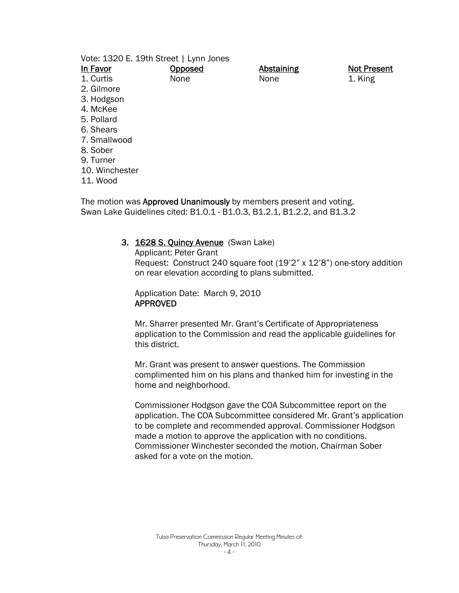| Vote: 1320 E. 19th Street   Lynn Jones |         |                   |                    |  |  |
|----------------------------------------|---------|-------------------|--------------------|--|--|
| In Favor                               | Opposed | <b>Abstaining</b> | <b>Not Present</b> |  |  |
| 1. Curtis                              | None    | None              | 1. King            |  |  |
| 2. Gilmore                             |         |                   |                    |  |  |
| 3. Hodgson                             |         |                   |                    |  |  |
| 4. McKee                               |         |                   |                    |  |  |
| 5. Pollard                             |         |                   |                    |  |  |
| 6. Shears                              |         |                   |                    |  |  |
| 7. Smallwood                           |         |                   |                    |  |  |
| 8. Sober                               |         |                   |                    |  |  |
| 9. Turner                              |         |                   |                    |  |  |
| 10. Winchester                         |         |                   |                    |  |  |
| 11. Wood                               |         |                   |                    |  |  |
|                                        |         |                   |                    |  |  |

The motion was Approved Unanimously by members present and voting. Swan Lake Guidelines cited: B1.0.1 - B1.0.3, B1.2.1, B1.2.2, and B1.3.2

#### 3. 1628 S. Quincy Avenue (Swan Lake)

Applicant: Peter Grant

Request: Construct 240 square foot (19'2" x 12'8") one-story addition on rear elevation according to plans submitted.

Application Date: March 9, 2010 APPROVED

Mr. Sharrer presented Mr. Grant's Certificate of Appropriateness application to the Commission and read the applicable guidelines for this district.

Mr. Grant was present to answer questions. The Commission complimented him on his plans and thanked him for investing in the home and neighborhood.

Commissioner Hodgson gave the COA Subcommittee report on the application. The COA Subcommittee considered Mr. Grant's application to be complete and recommended approval. Commissioner Hodgson made a motion to approve the application with no conditions. Commissioner Winchester seconded the motion. Chairman Sober asked for a vote on the motion.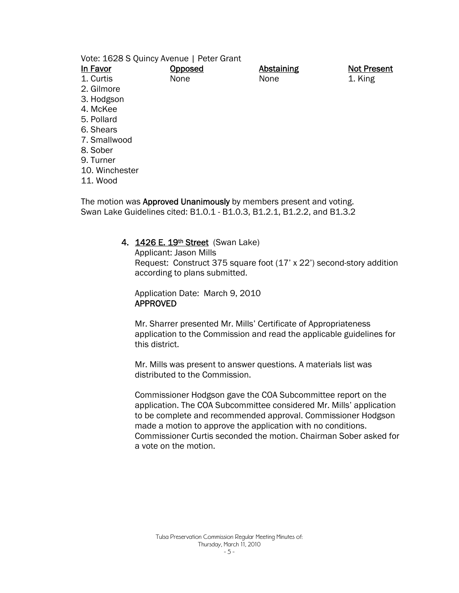Vote: 1628 S Quincy Avenue | Peter Grant

| In Favor       | Opposed | <b>Abstaining</b> | <b>Not Present</b> |
|----------------|---------|-------------------|--------------------|
| 1. Curtis      | None    | None              | 1. King            |
| 2. Gilmore     |         |                   |                    |
| 3. Hodgson     |         |                   |                    |
| 4. McKee       |         |                   |                    |
| 5. Pollard     |         |                   |                    |
| 6. Shears      |         |                   |                    |
| 7. Smallwood   |         |                   |                    |
| 8. Sober       |         |                   |                    |
| 9. Turner      |         |                   |                    |
| 10. Winchester |         |                   |                    |
| 11. Wood       |         |                   |                    |
|                |         |                   |                    |

The motion was Approved Unanimously by members present and voting. Swan Lake Guidelines cited: B1.0.1 - B1.0.3, B1.2.1, B1.2.2, and B1.3.2

#### 4. 1426 E. 19th Street (Swan Lake)

Applicant: Jason Mills Request: Construct 375 square foot (17' x 22') second-story addition according to plans submitted.

Application Date: March 9, 2010 APPROVED

Mr. Sharrer presented Mr. Mills' Certificate of Appropriateness application to the Commission and read the applicable guidelines for this district.

Mr. Mills was present to answer questions. A materials list was distributed to the Commission.

Commissioner Hodgson gave the COA Subcommittee report on the application. The COA Subcommittee considered Mr. Mills' application to be complete and recommended approval. Commissioner Hodgson made a motion to approve the application with no conditions. Commissioner Curtis seconded the motion. Chairman Sober asked for a vote on the motion.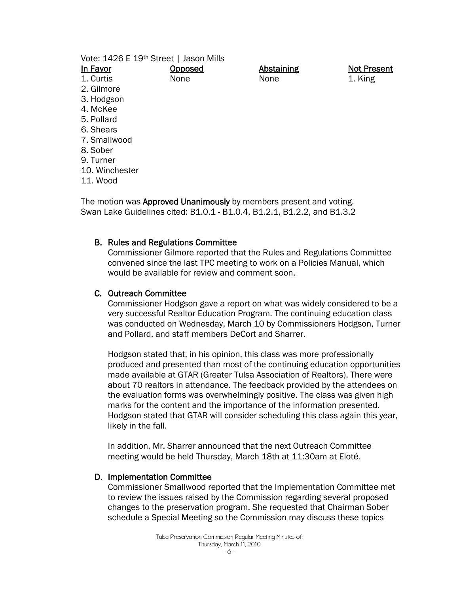#### Vote: 1426 E 19th Street | Jason Mills

| In Favor       | <b>Opposed</b> | <b>Abstaining</b> | <b>Not Present</b> |
|----------------|----------------|-------------------|--------------------|
| 1. Curtis      | None           | None              | 1. King            |
| 2. Gilmore     |                |                   |                    |
| 3. Hodgson     |                |                   |                    |
| 4. McKee       |                |                   |                    |
| 5. Pollard     |                |                   |                    |
| 6. Shears      |                |                   |                    |
| 7. Smallwood   |                |                   |                    |
| 8. Sober       |                |                   |                    |
| 9. Turner      |                |                   |                    |
| 10. Winchester |                |                   |                    |
| 11. Wood       |                |                   |                    |
|                |                |                   |                    |
|                |                |                   |                    |

The motion was Approved Unanimously by members present and voting. Swan Lake Guidelines cited: B1.0.1 - B1.0.4, B1.2.1, B1.2.2, and B1.3.2

#### B. Rules and Regulations Committee

Commissioner Gilmore reported that the Rules and Regulations Committee convened since the last TPC meeting to work on a Policies Manual, which would be available for review and comment soon.

#### C. Outreach Committee

Commissioner Hodgson gave a report on what was widely considered to be a very successful Realtor Education Program. The continuing education class was conducted on Wednesday, March 10 by Commissioners Hodgson, Turner and Pollard, and staff members DeCort and Sharrer.

Hodgson stated that, in his opinion, this class was more professionally produced and presented than most of the continuing education opportunities made available at GTAR (Greater Tulsa Association of Realtors). There were about 70 realtors in attendance. The feedback provided by the attendees on the evaluation forms was overwhelmingly positive. The class was given high marks for the content and the importance of the information presented. Hodgson stated that GTAR will consider scheduling this class again this year, likely in the fall.

In addition, Mr. Sharrer announced that the next Outreach Committee meeting would be held Thursday, March 18th at 11:30am at Eloté.

#### D. Implementation Committee

Commissioner Smallwood reported that the Implementation Committee met to review the issues raised by the Commission regarding several proposed changes to the preservation program. She requested that Chairman Sober schedule a Special Meeting so the Commission may discuss these topics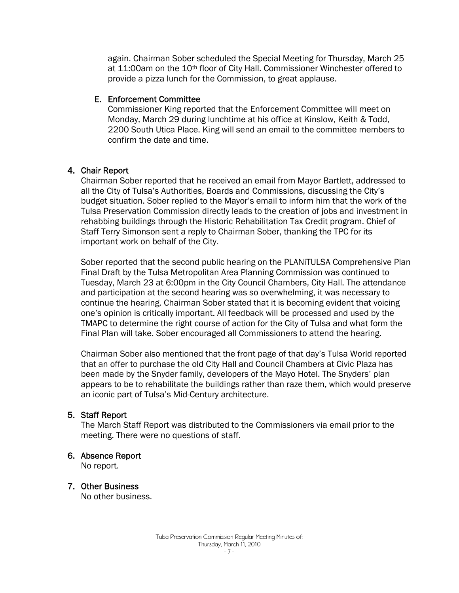again. Chairman Sober scheduled the Special Meeting for Thursday, March 25 at 11:00am on the 10th floor of City Hall. Commissioner Winchester offered to provide a pizza lunch for the Commission, to great applause.

#### E. Enforcement Committee

Commissioner King reported that the Enforcement Committee will meet on Monday, March 29 during lunchtime at his office at Kinslow, Keith & Todd, 2200 South Utica Place. King will send an email to the committee members to confirm the date and time.

#### 4. Chair Report

Chairman Sober reported that he received an email from Mayor Bartlett, addressed to all the City of Tulsa's Authorities, Boards and Commissions, discussing the City's budget situation. Sober replied to the Mayor's email to inform him that the work of the Tulsa Preservation Commission directly leads to the creation of jobs and investment in rehabbing buildings through the Historic Rehabilitation Tax Credit program. Chief of Staff Terry Simonson sent a reply to Chairman Sober, thanking the TPC for its important work on behalf of the City.

Sober reported that the second public hearing on the PLANiTULSA Comprehensive Plan Final Draft by the Tulsa Metropolitan Area Planning Commission was continued to Tuesday, March 23 at 6:00pm in the City Council Chambers, City Hall. The attendance and participation at the second hearing was so overwhelming, it was necessary to continue the hearing. Chairman Sober stated that it is becoming evident that voicing one's opinion is critically important. All feedback will be processed and used by the TMAPC to determine the right course of action for the City of Tulsa and what form the Final Plan will take. Sober encouraged all Commissioners to attend the hearing.

Chairman Sober also mentioned that the front page of that day's Tulsa World reported that an offer to purchase the old City Hall and Council Chambers at Civic Plaza has been made by the Snyder family, developers of the Mayo Hotel. The Snyders' plan appears to be to rehabilitate the buildings rather than raze them, which would preserve an iconic part of Tulsa's Mid-Century architecture.

#### 5. Staff Report

The March Staff Report was distributed to the Commissioners via email prior to the meeting. There were no questions of staff.

# 6. Absence Report

No report.

7. Other Business

No other business.